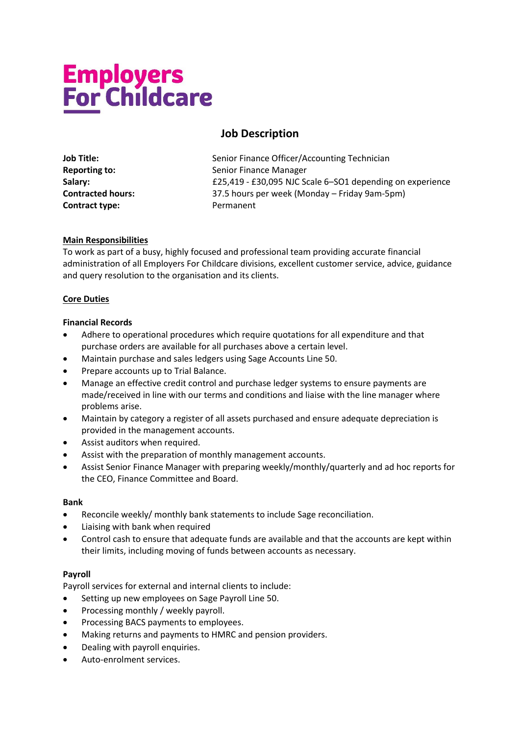# **Employers<br>For Childcare**

# **Job Description**

| <b>Job Title:</b>        |
|--------------------------|
| <b>Reporting to:</b>     |
| Salary:                  |
| <b>Contracted hours:</b> |
| Contract type:           |

Senior Finance Officer/Accounting Technician **Senior Finance Manager Salary:** £25,419 - £30,095 NJC Scale 6–SO1 depending on experience **Contracted hours:** 37.5 hours per week (Monday – Friday 9am-5pm) **Contract type:** Permanent

### **Main Responsibilities**

To work as part of a busy, highly focused and professional team providing accurate financial administration of all Employers For Childcare divisions, excellent customer service, advice, guidance and query resolution to the organisation and its clients.

### **Core Duties**

### **Financial Records**

- Adhere to operational procedures which require quotations for all expenditure and that purchase orders are available for all purchases above a certain level.
- Maintain purchase and sales ledgers using Sage Accounts Line 50.
- Prepare accounts up to Trial Balance.
- Manage an effective credit control and purchase ledger systems to ensure payments are made/received in line with our terms and conditions and liaise with the line manager where problems arise.
- Maintain by category a register of all assets purchased and ensure adequate depreciation is provided in the management accounts.
- Assist auditors when required.
- Assist with the preparation of monthly management accounts.
- Assist Senior Finance Manager with preparing weekly/monthly/quarterly and ad hoc reports for the CEO, Finance Committee and Board.

### **Bank**

- Reconcile weekly/ monthly bank statements to include Sage reconciliation.
- Liaising with bank when required
- Control cash to ensure that adequate funds are available and that the accounts are kept within their limits, including moving of funds between accounts as necessary.

### **Payroll**

Payroll services for external and internal clients to include:

- Setting up new employees on Sage Payroll Line 50.
- Processing monthly / weekly payroll.
- Processing BACS payments to employees.
- Making returns and payments to HMRC and pension providers.
- Dealing with payroll enquiries.
- Auto-enrolment services.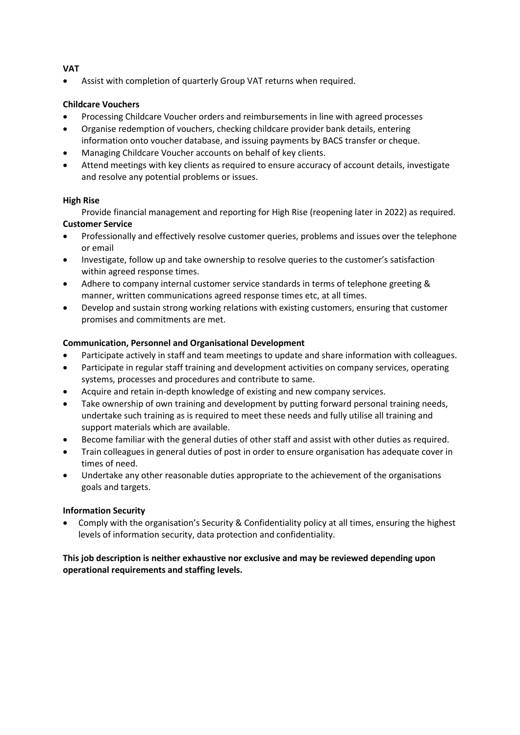### **VAT**

Assist with completion of quarterly Group VAT returns when required.

### **Childcare Vouchers**

- Processing Childcare Voucher orders and reimbursements in line with agreed processes
- Organise redemption of vouchers, checking childcare provider bank details, entering information onto voucher database, and issuing payments by BACS transfer or cheque.
- Managing Childcare Voucher accounts on behalf of key clients.
- Attend meetings with key clients as required to ensure accuracy of account details, investigate and resolve any potential problems or issues.

### **High Rise**

Provide financial management and reporting for High Rise (reopening later in 2022) as required. **Customer Service** 

- Professionally and effectively resolve customer queries, problems and issues over the telephone or email
- Investigate, follow up and take ownership to resolve queries to the customer's satisfaction within agreed response times.
- Adhere to company internal customer service standards in terms of telephone greeting & manner, written communications agreed response times etc, at all times.
- Develop and sustain strong working relations with existing customers, ensuring that customer promises and commitments are met.

### **Communication, Personnel and Organisational Development**

- Participate actively in staff and team meetings to update and share information with colleagues.
- Participate in regular staff training and development activities on company services, operating systems, processes and procedures and contribute to same.
- Acquire and retain in-depth knowledge of existing and new company services.
- Take ownership of own training and development by putting forward personal training needs, undertake such training as is required to meet these needs and fully utilise all training and support materials which are available.
- Become familiar with the general duties of other staff and assist with other duties as required.
- Train colleagues in general duties of post in order to ensure organisation has adequate cover in times of need.
- Undertake any other reasonable duties appropriate to the achievement of the organisations goals and targets.

### **Information Security**

• Comply with the organisation's Security & Confidentiality policy at all times, ensuring the highest levels of information security, data protection and confidentiality.

### **This job description is neither exhaustive nor exclusive and may be reviewed depending upon operational requirements and staffing levels.**